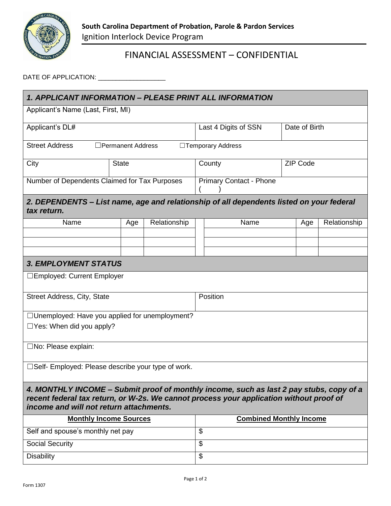

# FINANCIAL ASSESSMENT – CONFIDENTIAL

#### DATE OF APPLICATION: \_\_\_\_\_\_\_\_\_\_\_\_\_\_\_\_\_\_\_\_\_\_\_

| 1. APPLICANT INFORMATION – PLEASE PRINT ALL INFORMATION                                                                                                                                                                       |              |              |          |                                |                 |              |  |
|-------------------------------------------------------------------------------------------------------------------------------------------------------------------------------------------------------------------------------|--------------|--------------|----------|--------------------------------|-----------------|--------------|--|
| Applicant's Name (Last, First, MI)                                                                                                                                                                                            |              |              |          |                                |                 |              |  |
| Applicant's DL#                                                                                                                                                                                                               |              |              |          | Last 4 Digits of SSN           | Date of Birth   |              |  |
| <b>Street Address</b><br>Permanent Address<br>□Temporary Address                                                                                                                                                              |              |              |          |                                |                 |              |  |
| City                                                                                                                                                                                                                          | <b>State</b> |              |          | County                         | <b>ZIP Code</b> |              |  |
| Number of Dependents Claimed for Tax Purposes                                                                                                                                                                                 |              |              |          | <b>Primary Contact - Phone</b> |                 |              |  |
| 2. DEPENDENTS - List name, age and relationship of all dependents listed on your federal<br>tax return.                                                                                                                       |              |              |          |                                |                 |              |  |
| Name                                                                                                                                                                                                                          | Age          | Relationship |          | Name                           | Age             | Relationship |  |
|                                                                                                                                                                                                                               |              |              |          |                                |                 |              |  |
|                                                                                                                                                                                                                               |              |              |          |                                |                 |              |  |
| <b>3. EMPLOYMENT STATUS</b>                                                                                                                                                                                                   |              |              |          |                                |                 |              |  |
| □Employed: Current Employer                                                                                                                                                                                                   |              |              |          |                                |                 |              |  |
| Street Address, City, State                                                                                                                                                                                                   |              |              | Position |                                |                 |              |  |
| □ Unemployed: Have you applied for unemployment?                                                                                                                                                                              |              |              |          |                                |                 |              |  |
| $\Box$ Yes: When did you apply?                                                                                                                                                                                               |              |              |          |                                |                 |              |  |
| □No: Please explain:                                                                                                                                                                                                          |              |              |          |                                |                 |              |  |
| □Self- Employed: Please describe your type of work.                                                                                                                                                                           |              |              |          |                                |                 |              |  |
| 4. MONTHLY INCOME – Submit proof of monthly income, such as last 2 pay stubs, copy of a<br>recent federal tax return, or W-2s. We cannot process your application without proof of<br>income and will not return attachments. |              |              |          |                                |                 |              |  |
| <b>Monthly Income Sources</b>                                                                                                                                                                                                 |              |              |          | <b>Combined Monthly Income</b> |                 |              |  |
| Self and spouse's monthly net pay                                                                                                                                                                                             |              |              | \$       |                                |                 |              |  |
| <b>Social Security</b>                                                                                                                                                                                                        |              |              | \$       |                                |                 |              |  |
| <b>Disability</b>                                                                                                                                                                                                             |              |              | \$       |                                |                 |              |  |